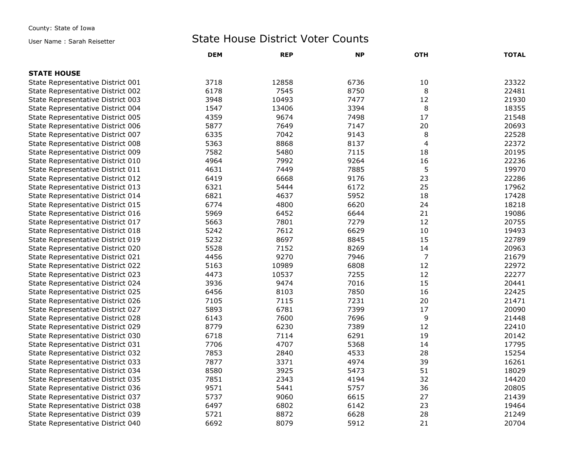## County: State of Iowa

## User Name : Sarah Reisetter **State House District Voter Counts**

|                                   | <b>DEM</b> | <b>REP</b> | <b>NP</b> | <b>OTH</b>     | <b>TOTAL</b> |
|-----------------------------------|------------|------------|-----------|----------------|--------------|
| <b>STATE HOUSE</b>                |            |            |           |                |              |
| State Representative District 001 | 3718       | 12858      | 6736      | 10             | 23322        |
| State Representative District 002 | 6178       | 7545       | 8750      | 8              | 22481        |
| State Representative District 003 | 3948       | 10493      | 7477      | 12             | 21930        |
| State Representative District 004 | 1547       | 13406      | 3394      | 8              | 18355        |
| State Representative District 005 | 4359       | 9674       | 7498      | 17             | 21548        |
| State Representative District 006 | 5877       | 7649       | 7147      | 20             | 20693        |
| State Representative District 007 | 6335       | 7042       | 9143      | 8              | 22528        |
| State Representative District 008 | 5363       | 8868       | 8137      | $\overline{4}$ | 22372        |
| State Representative District 009 | 7582       | 5480       | 7115      | 18             | 20195        |
| State Representative District 010 | 4964       | 7992       | 9264      | 16             | 22236        |
| State Representative District 011 | 4631       | 7449       | 7885      | 5              | 19970        |
| State Representative District 012 | 6419       | 6668       | 9176      | 23             | 22286        |
| State Representative District 013 | 6321       | 5444       | 6172      | 25             | 17962        |
| State Representative District 014 | 6821       | 4637       | 5952      | 18             | 17428        |
| State Representative District 015 | 6774       | 4800       | 6620      | 24             | 18218        |
| State Representative District 016 | 5969       | 6452       | 6644      | 21             | 19086        |
| State Representative District 017 | 5663       | 7801       | 7279      | 12             | 20755        |
| State Representative District 018 | 5242       | 7612       | 6629      | 10             | 19493        |
| State Representative District 019 | 5232       | 8697       | 8845      | 15             | 22789        |
| State Representative District 020 | 5528       | 7152       | 8269      | 14             | 20963        |
| State Representative District 021 | 4456       | 9270       | 7946      | $\overline{7}$ | 21679        |
| State Representative District 022 | 5163       | 10989      | 6808      | 12             | 22972        |
| State Representative District 023 | 4473       | 10537      | 7255      | 12             | 22277        |
| State Representative District 024 | 3936       | 9474       | 7016      | 15             | 20441        |
| State Representative District 025 | 6456       | 8103       | 7850      | 16             | 22425        |
| State Representative District 026 | 7105       | 7115       | 7231      | 20             | 21471        |
| State Representative District 027 | 5893       | 6781       | 7399      | 17             | 20090        |
| State Representative District 028 | 6143       | 7600       | 7696      | 9              | 21448        |
| State Representative District 029 | 8779       | 6230       | 7389      | 12             | 22410        |
| State Representative District 030 | 6718       | 7114       | 6291      | 19             | 20142        |
| State Representative District 031 | 7706       | 4707       | 5368      | 14             | 17795        |
| State Representative District 032 | 7853       | 2840       | 4533      | 28             | 15254        |
| State Representative District 033 | 7877       | 3371       | 4974      | 39             | 16261        |
| State Representative District 034 | 8580       | 3925       | 5473      | 51             | 18029        |
| State Representative District 035 | 7851       | 2343       | 4194      | 32             | 14420        |
| State Representative District 036 | 9571       | 5441       | 5757      | 36             | 20805        |
| State Representative District 037 | 5737       | 9060       | 6615      | 27             | 21439        |
| State Representative District 038 | 6497       | 6802       | 6142      | 23             | 19464        |
| State Representative District 039 | 5721       | 8872       | 6628      | 28             | 21249        |
| State Representative District 040 | 6692       | 8079       | 5912      | 21             | 20704        |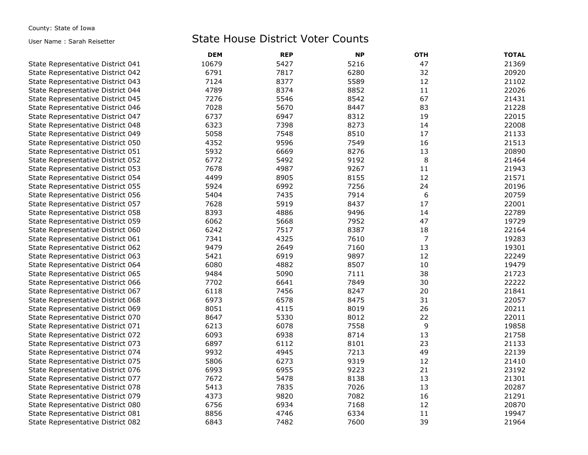## User Name : Sarah Reisetter **State House District Voter Counts**

|                                   | <b>DEM</b> | <b>REP</b> | <b>NP</b> | <b>OTH</b> | <b>TOTAL</b> |
|-----------------------------------|------------|------------|-----------|------------|--------------|
| State Representative District 041 | 10679      | 5427       | 5216      | 47         | 21369        |
| State Representative District 042 | 6791       | 7817       | 6280      | 32         | 20920        |
| State Representative District 043 | 7124       | 8377       | 5589      | 12         | 21102        |
| State Representative District 044 | 4789       | 8374       | 8852      | 11         | 22026        |
| State Representative District 045 | 7276       | 5546       | 8542      | 67         | 21431        |
| State Representative District 046 | 7028       | 5670       | 8447      | 83         | 21228        |
| State Representative District 047 | 6737       | 6947       | 8312      | 19         | 22015        |
| State Representative District 048 | 6323       | 7398       | 8273      | 14         | 22008        |
| State Representative District 049 | 5058       | 7548       | 8510      | 17         | 21133        |
| State Representative District 050 | 4352       | 9596       | 7549      | 16         | 21513        |
| State Representative District 051 | 5932       | 6669       | 8276      | 13         | 20890        |
| State Representative District 052 | 6772       | 5492       | 9192      | 8          | 21464        |
| State Representative District 053 | 7678       | 4987       | 9267      | 11         | 21943        |
| State Representative District 054 | 4499       | 8905       | 8155      | 12         | 21571        |
| State Representative District 055 | 5924       | 6992       | 7256      | 24         | 20196        |
| State Representative District 056 | 5404       | 7435       | 7914      | 6          | 20759        |
| State Representative District 057 | 7628       | 5919       | 8437      | 17         | 22001        |
| State Representative District 058 | 8393       | 4886       | 9496      | 14         | 22789        |
| State Representative District 059 | 6062       | 5668       | 7952      | 47         | 19729        |
| State Representative District 060 | 6242       | 7517       | 8387      | 18         | 22164        |
| State Representative District 061 | 7341       | 4325       | 7610      | 7          | 19283        |
| State Representative District 062 | 9479       | 2649       | 7160      | 13         | 19301        |
| State Representative District 063 | 5421       | 6919       | 9897      | 12         | 22249        |
| State Representative District 064 | 6080       | 4882       | 8507      | 10         | 19479        |
| State Representative District 065 | 9484       | 5090       | 7111      | 38         | 21723        |
| State Representative District 066 | 7702       | 6641       | 7849      | 30         | 22222        |
| State Representative District 067 | 6118       | 7456       | 8247      | 20         | 21841        |
| State Representative District 068 | 6973       | 6578       | 8475      | 31         | 22057        |
| State Representative District 069 | 8051       | 4115       | 8019      | 26         | 20211        |
| State Representative District 070 | 8647       | 5330       | 8012      | 22         | 22011        |
| State Representative District 071 | 6213       | 6078       | 7558      | 9          | 19858        |
| State Representative District 072 | 6093       | 6938       | 8714      | 13         | 21758        |
| State Representative District 073 | 6897       | 6112       | 8101      | 23         | 21133        |
| State Representative District 074 | 9932       | 4945       | 7213      | 49         | 22139        |
| State Representative District 075 | 5806       | 6273       | 9319      | 12         | 21410        |
| State Representative District 076 | 6993       | 6955       | 9223      | 21         | 23192        |
| State Representative District 077 | 7672       | 5478       | 8138      | 13         | 21301        |
| State Representative District 078 | 5413       | 7835       | 7026      | 13         | 20287        |
| State Representative District 079 | 4373       | 9820       | 7082      | 16         | 21291        |
| State Representative District 080 | 6756       | 6934       | 7168      | 12         | 20870        |
| State Representative District 081 | 8856       | 4746       | 6334      | 11         | 19947        |
| State Representative District 082 | 6843       | 7482       | 7600      | 39         | 21964        |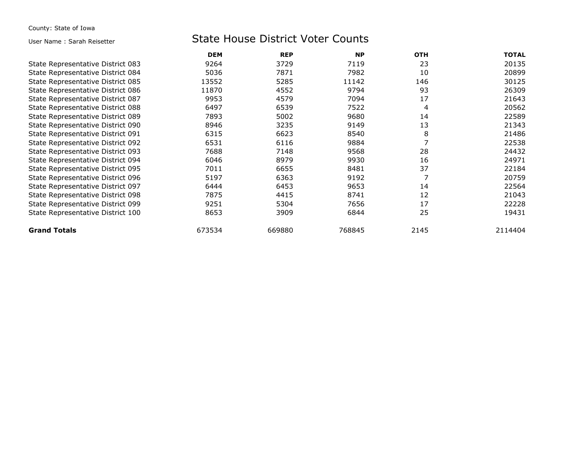County: State of Iowa

## User Name : Sarah Reisetter **State House District Voter Counts**

|                                   | <b>DEM</b> | <b>REP</b> | <b>NP</b> | <b>OTH</b> | <b>TOTAL</b> |
|-----------------------------------|------------|------------|-----------|------------|--------------|
| State Representative District 083 | 9264       | 3729       | 7119      | 23         | 20135        |
| State Representative District 084 | 5036       | 7871       | 7982      | 10         | 20899        |
| State Representative District 085 | 13552      | 5285       | 11142     | 146        | 30125        |
| State Representative District 086 | 11870      | 4552       | 9794      | 93         | 26309        |
| State Representative District 087 | 9953       | 4579       | 7094      | 17         | 21643        |
| State Representative District 088 | 6497       | 6539       | 7522      | 4          | 20562        |
| State Representative District 089 | 7893       | 5002       | 9680      | 14         | 22589        |
| State Representative District 090 | 8946       | 3235       | 9149      | 13         | 21343        |
| State Representative District 091 | 6315       | 6623       | 8540      | 8          | 21486        |
| State Representative District 092 | 6531       | 6116       | 9884      |            | 22538        |
| State Representative District 093 | 7688       | 7148       | 9568      | 28         | 24432        |
| State Representative District 094 | 6046       | 8979       | 9930      | 16         | 24971        |
| State Representative District 095 | 7011       | 6655       | 8481      | 37         | 22184        |
| State Representative District 096 | 5197       | 6363       | 9192      |            | 20759        |
| State Representative District 097 | 6444       | 6453       | 9653      | 14         | 22564        |
| State Representative District 098 | 7875       | 4415       | 8741      | 12         | 21043        |
| State Representative District 099 | 9251       | 5304       | 7656      | 17         | 22228        |
| State Representative District 100 | 8653       | 3909       | 6844      | 25         | 19431        |
| <b>Grand Totals</b>               | 673534     | 669880     | 768845    | 2145       | 2114404      |